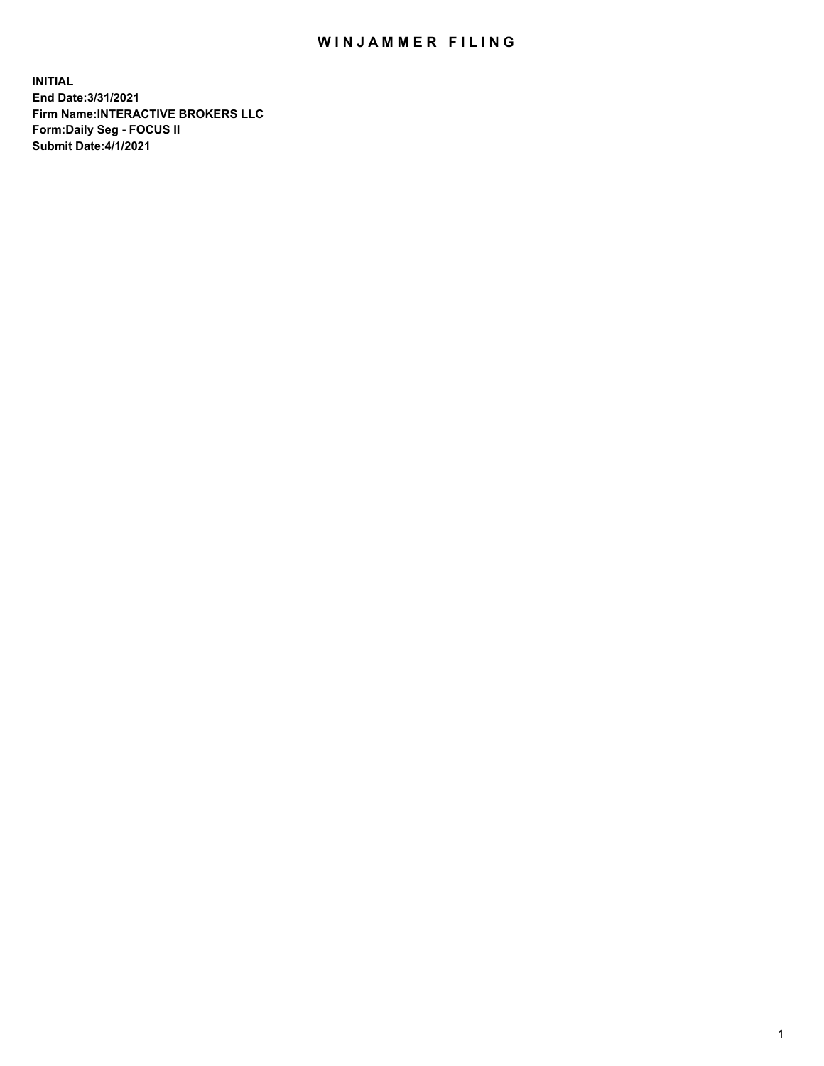## WIN JAMMER FILING

**INITIAL End Date:3/31/2021 Firm Name:INTERACTIVE BROKERS LLC Form:Daily Seg - FOCUS II Submit Date:4/1/2021**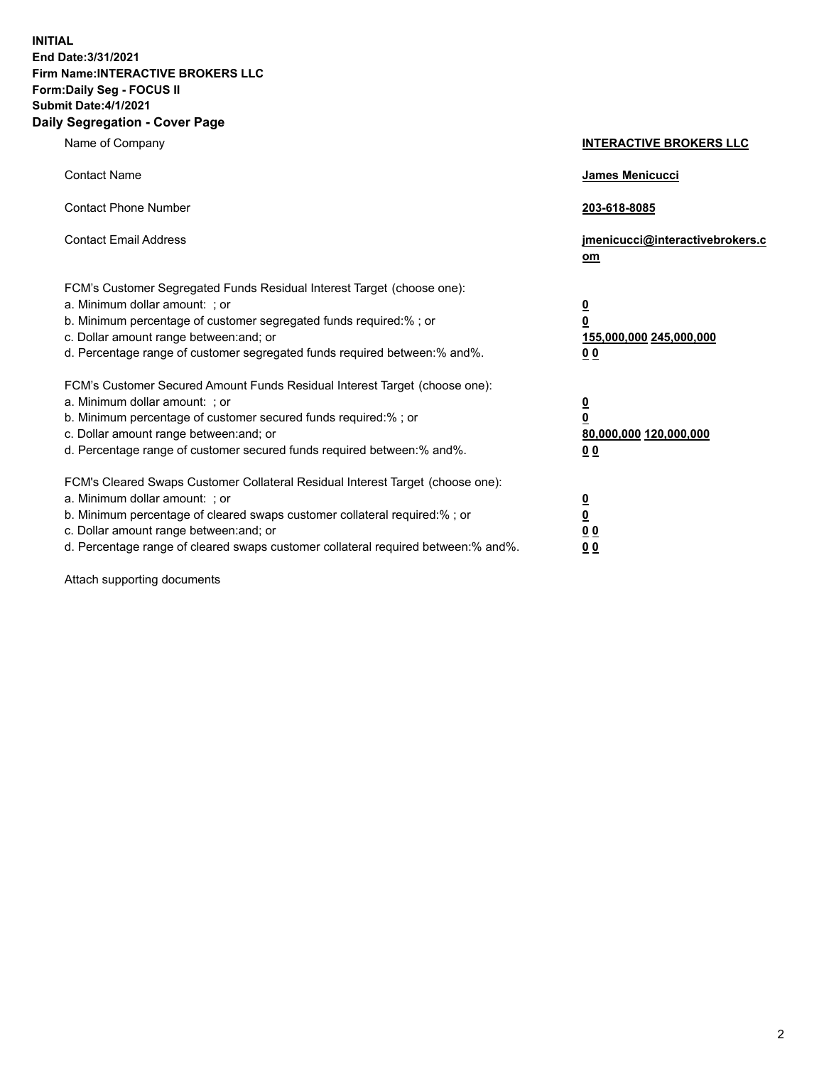**INITIAL End Date:3/31/2021 Firm Name:INTERACTIVE BROKERS LLC Form:Daily Seg - FOCUS II Submit Date:4/1/2021 Daily Segregation - Cover Page**

| Name of Company                                                                                                                                                                                                                                                                                                                | <b>INTERACTIVE BROKERS LLC</b>                                                                 |
|--------------------------------------------------------------------------------------------------------------------------------------------------------------------------------------------------------------------------------------------------------------------------------------------------------------------------------|------------------------------------------------------------------------------------------------|
| <b>Contact Name</b>                                                                                                                                                                                                                                                                                                            | James Menicucci                                                                                |
| <b>Contact Phone Number</b>                                                                                                                                                                                                                                                                                                    | 203-618-8085                                                                                   |
| <b>Contact Email Address</b>                                                                                                                                                                                                                                                                                                   | jmenicucci@interactivebrokers.c<br>om                                                          |
| FCM's Customer Segregated Funds Residual Interest Target (choose one):<br>a. Minimum dollar amount: ; or<br>b. Minimum percentage of customer segregated funds required:% ; or<br>c. Dollar amount range between: and; or<br>d. Percentage range of customer segregated funds required between:% and%.                         | $\overline{\mathbf{0}}$<br>$\overline{\mathbf{0}}$<br>155,000,000 245,000,000<br>00            |
| FCM's Customer Secured Amount Funds Residual Interest Target (choose one):<br>a. Minimum dollar amount: ; or<br>b. Minimum percentage of customer secured funds required:%; or<br>c. Dollar amount range between: and; or<br>d. Percentage range of customer secured funds required between:% and%.                            | $\overline{\mathbf{0}}$<br>$\overline{\mathbf{0}}$<br>80,000,000 120,000,000<br>0 <sub>0</sub> |
| FCM's Cleared Swaps Customer Collateral Residual Interest Target (choose one):<br>a. Minimum dollar amount: ; or<br>b. Minimum percentage of cleared swaps customer collateral required:% ; or<br>c. Dollar amount range between: and; or<br>d. Percentage range of cleared swaps customer collateral required between:% and%. | $\frac{0}{0}$<br>0 <sub>0</sub><br>0 <sub>0</sub>                                              |

Attach supporting documents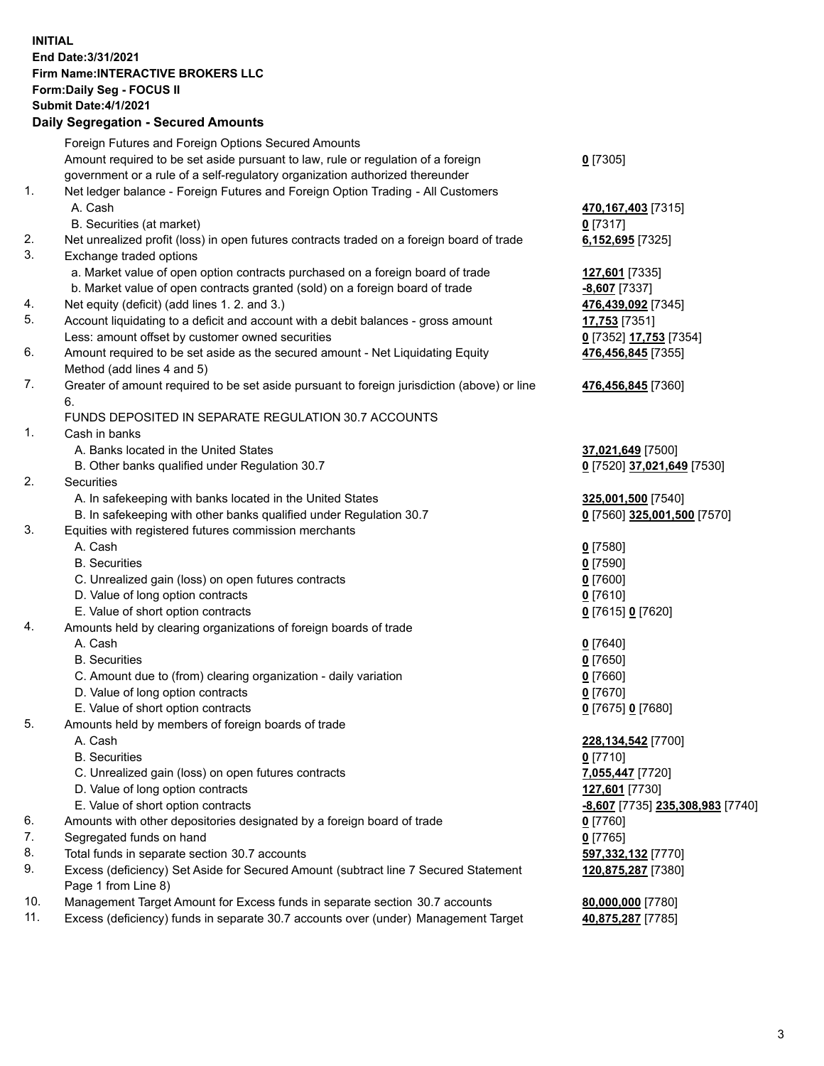## **INITIAL End Date:3/31/2021 Firm Name:INTERACTIVE BROKERS LLC Form:Daily Seg - FOCUS II Submit Date:4/1/2021 Daily Segregation - Secured Amounts**

|     | Foreign Futures and Foreign Options Secured Amounts                                                        |                                         |
|-----|------------------------------------------------------------------------------------------------------------|-----------------------------------------|
|     | Amount required to be set aside pursuant to law, rule or regulation of a foreign                           | $0$ [7305]                              |
|     | government or a rule of a self-regulatory organization authorized thereunder                               |                                         |
| 1.  | Net ledger balance - Foreign Futures and Foreign Option Trading - All Customers                            |                                         |
|     | A. Cash                                                                                                    | 470, 167, 403 [7315]                    |
|     | B. Securities (at market)                                                                                  | $0$ [7317]                              |
| 2.  | Net unrealized profit (loss) in open futures contracts traded on a foreign board of trade                  | 6,152,695 [7325]                        |
| 3.  | Exchange traded options                                                                                    |                                         |
|     | a. Market value of open option contracts purchased on a foreign board of trade                             | 127,601 [7335]                          |
|     | b. Market value of open contracts granted (sold) on a foreign board of trade                               | -8,607 [7337]                           |
| 4.  | Net equity (deficit) (add lines 1. 2. and 3.)                                                              | 476,439,092 [7345]                      |
| 5.  | Account liquidating to a deficit and account with a debit balances - gross amount                          | 17,753 [7351]                           |
|     | Less: amount offset by customer owned securities                                                           | 0 [7352] 17,753 [7354]                  |
| 6.  | Amount required to be set aside as the secured amount - Net Liquidating Equity                             | 476,456,845 [7355]                      |
|     | Method (add lines 4 and 5)                                                                                 |                                         |
| 7.  | Greater of amount required to be set aside pursuant to foreign jurisdiction (above) or line<br>6.          | 476,456,845 [7360]                      |
|     | FUNDS DEPOSITED IN SEPARATE REGULATION 30.7 ACCOUNTS                                                       |                                         |
| 1.  | Cash in banks                                                                                              |                                         |
|     | A. Banks located in the United States                                                                      | 37,021,649 [7500]                       |
|     | B. Other banks qualified under Regulation 30.7                                                             | 0 [7520] 37,021,649 [7530]              |
| 2.  | Securities                                                                                                 |                                         |
|     | A. In safekeeping with banks located in the United States                                                  | 325,001,500 [7540]                      |
|     | B. In safekeeping with other banks qualified under Regulation 30.7                                         | 0 [7560] 325,001,500 [7570]             |
| 3.  | Equities with registered futures commission merchants                                                      |                                         |
|     | A. Cash                                                                                                    | $0$ [7580]                              |
|     | <b>B.</b> Securities                                                                                       | $0$ [7590]                              |
|     | C. Unrealized gain (loss) on open futures contracts                                                        | $0$ [7600]                              |
|     | D. Value of long option contracts                                                                          | $0$ [7610]                              |
|     | E. Value of short option contracts                                                                         | 0 [7615] 0 [7620]                       |
| 4.  | Amounts held by clearing organizations of foreign boards of trade                                          |                                         |
|     | A. Cash                                                                                                    | $Q$ [7640]                              |
|     | <b>B.</b> Securities                                                                                       | $0$ [7650]                              |
|     | C. Amount due to (from) clearing organization - daily variation                                            | $0$ [7660]                              |
|     | D. Value of long option contracts                                                                          | $0$ [7670]                              |
|     | E. Value of short option contracts                                                                         | 0 [7675] 0 [7680]                       |
| 5.  | Amounts held by members of foreign boards of trade                                                         |                                         |
|     | A. Cash                                                                                                    | 228,134,542 [7700]                      |
|     | <b>B.</b> Securities                                                                                       | $0$ [7710]                              |
|     | C. Unrealized gain (loss) on open futures contracts                                                        | 7,055,447 [7720]                        |
|     | D. Value of long option contracts                                                                          | 127,601 [7730]                          |
|     | E. Value of short option contracts                                                                         | <u>-8,607</u> [7735] 235,308,983 [7740] |
| 6.  | Amounts with other depositories designated by a foreign board of trade                                     | $0$ [7760]                              |
| 7.  | Segregated funds on hand                                                                                   | $0$ [7765]                              |
| 8.  | Total funds in separate section 30.7 accounts                                                              | 597,332,132 [7770]                      |
| 9.  | Excess (deficiency) Set Aside for Secured Amount (subtract line 7 Secured Statement<br>Page 1 from Line 8) | 120,875,287 [7380]                      |
| 10. | Management Target Amount for Excess funds in separate section 30.7 accounts                                | 80,000,000 [7780]                       |
| 11. | Excess (deficiency) funds in separate 30.7 accounts over (under) Management Target                         | 40,875,287 [7785]                       |
|     |                                                                                                            |                                         |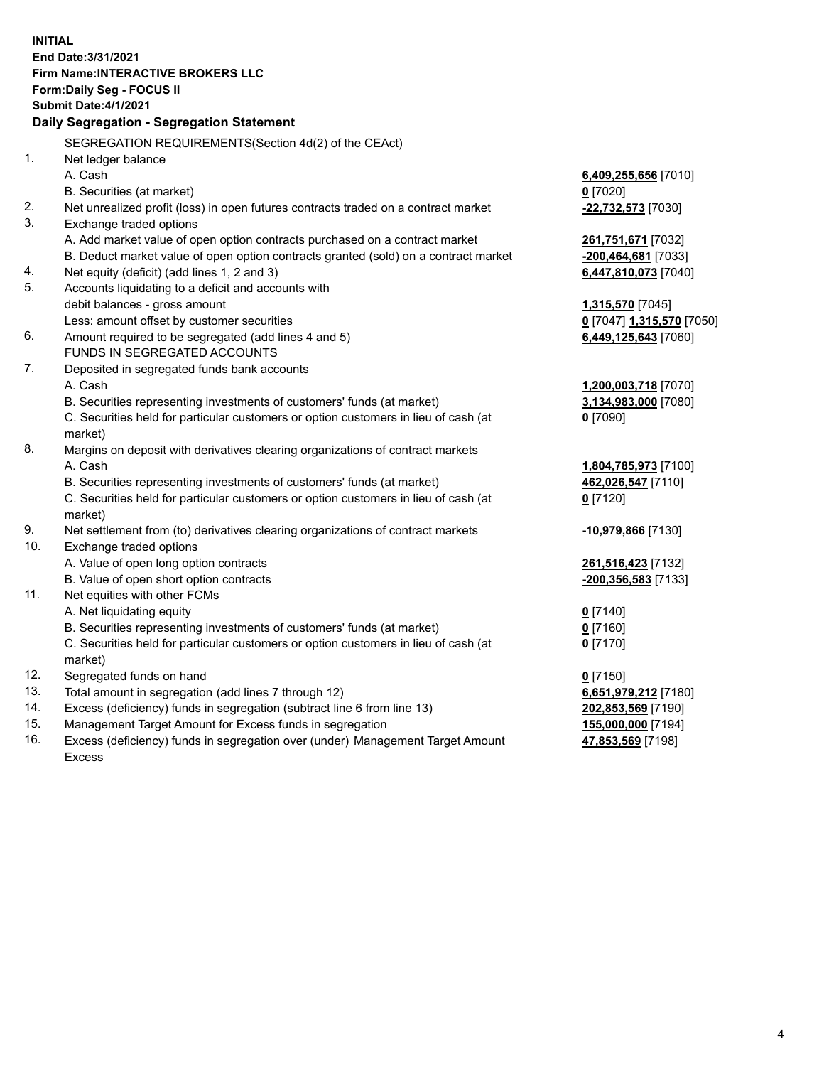**INITIAL End Date:3/31/2021 Firm Name:INTERACTIVE BROKERS LLC Form:Daily Seg - FOCUS II Submit Date:4/1/2021 Daily Segregation - Segregation Statement** SEGREGATION REQUIREMENTS(Section 4d(2) of the CEAct) 1. Net ledger balance A. Cash **6,409,255,656** [7010] B. Securities (at market) **0** [7020] 2. Net unrealized profit (loss) in open futures contracts traded on a contract market **-22,732,573** [7030] 3. Exchange traded options A. Add market value of open option contracts purchased on a contract market **261,751,671** [7032] B. Deduct market value of open option contracts granted (sold) on a contract market **-200,464,681** [7033] 4. Net equity (deficit) (add lines 1, 2 and 3) **6,447,810,073** [7040] 5. Accounts liquidating to a deficit and accounts with debit balances - gross amount **1,315,570** [7045] Less: amount offset by customer securities **0** [7047] **1,315,570** [7050] 6. Amount required to be segregated (add lines 4 and 5) **6,449,125,643** [7060] FUNDS IN SEGREGATED ACCOUNTS 7. Deposited in segregated funds bank accounts A. Cash **1,200,003,718** [7070] B. Securities representing investments of customers' funds (at market) **3,134,983,000** [7080] C. Securities held for particular customers or option customers in lieu of cash (at market) **0** [7090] 8. Margins on deposit with derivatives clearing organizations of contract markets A. Cash **1,804,785,973** [7100] B. Securities representing investments of customers' funds (at market) **462,026,547** [7110] C. Securities held for particular customers or option customers in lieu of cash (at market) **0** [7120] 9. Net settlement from (to) derivatives clearing organizations of contract markets **-10,979,866** [7130] 10. Exchange traded options A. Value of open long option contracts **261,516,423** [7132] B. Value of open short option contracts **-200,356,583** [7133] 11. Net equities with other FCMs A. Net liquidating equity **0** [7140] B. Securities representing investments of customers' funds (at market) **0** [7160] C. Securities held for particular customers or option customers in lieu of cash (at market) **0** [7170] 12. Segregated funds on hand **0** [7150] 13. Total amount in segregation (add lines 7 through 12) **6,651,979,212** [7180] 14. Excess (deficiency) funds in segregation (subtract line 6 from line 13) **202,853,569** [7190] 15. Management Target Amount for Excess funds in segregation **155,000,000** [7194] 16. Excess (deficiency) funds in segregation over (under) Management Target Amount **47,853,569** [7198]

Excess